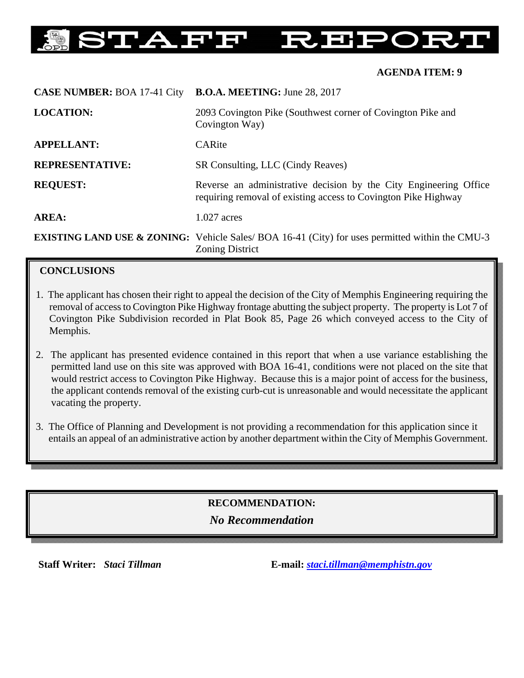#### EĞ 'AFF HР ŢН

### **AGENDA ITEM: 9**

| <b>CASE NUMBER: BOA 17-41 City</b> | <b>B.O.A. MEETING:</b> June 28, 2017                                                                                                 |
|------------------------------------|--------------------------------------------------------------------------------------------------------------------------------------|
| <b>LOCATION:</b>                   | 2093 Covington Pike (Southwest corner of Covington Pike and<br>Covington Way)                                                        |
| <b>APPELLANT:</b>                  | CARite                                                                                                                               |
| <b>REPRESENTATIVE:</b>             | SR Consulting, LLC (Cindy Reaves)                                                                                                    |
| <b>REQUEST:</b>                    | Reverse an administrative decision by the City Engineering Office<br>requiring removal of existing access to Covington Pike Highway  |
| AREA:                              | $1.027$ acres                                                                                                                        |
|                                    | <b>EXISTING LAND USE &amp; ZONING:</b> Vehicle Sales/ BOA 16-41 (City) for uses permitted within the CMU-3<br><b>Zoning District</b> |

# **CONCLUSIONS**

- 1. The applicant has chosen their right to appeal the decision of the City of Memphis Engineering requiring the removal of access to Covington Pike Highway frontage abutting the subject property. The property is Lot 7 of Covington Pike Subdivision recorded in Plat Book 85, Page 26 which conveyed access to the City of Memphis.
- 2. The applicant has presented evidence contained in this report that when a use variance establishing the permitted land use on this site was approved with BOA 16-41, conditions were not placed on the site that would restrict access to Covington Pike Highway. Because this is a major point of access for the business, the applicant contends removal of the existing curb-cut is unreasonable and would necessitate the applicant vacating the property.
- 3. The Office of Planning and Development is not providing a recommendation for this application since it entails an appeal of an administrative action by another department within the City of Memphis Government.

# **RECOMMENDATION:**

## *No Recommendation*

**Staff Writer:** *Staci Tillman* **E-mail:** *staci.tillman@memphistn.gov*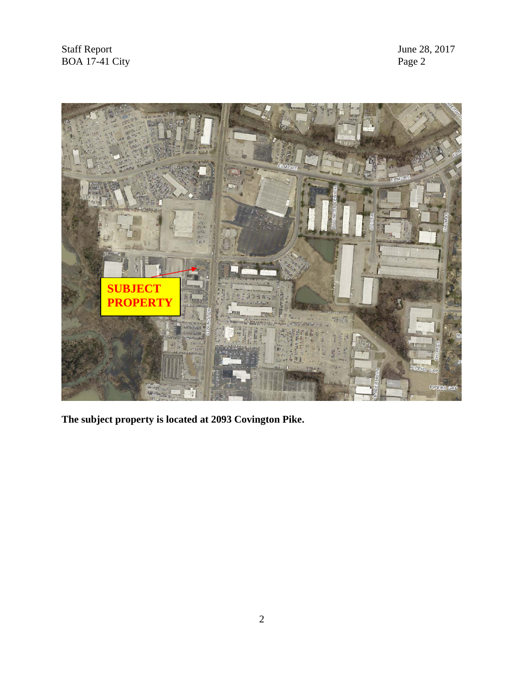

**The subject property is located at 2093 Covington Pike.**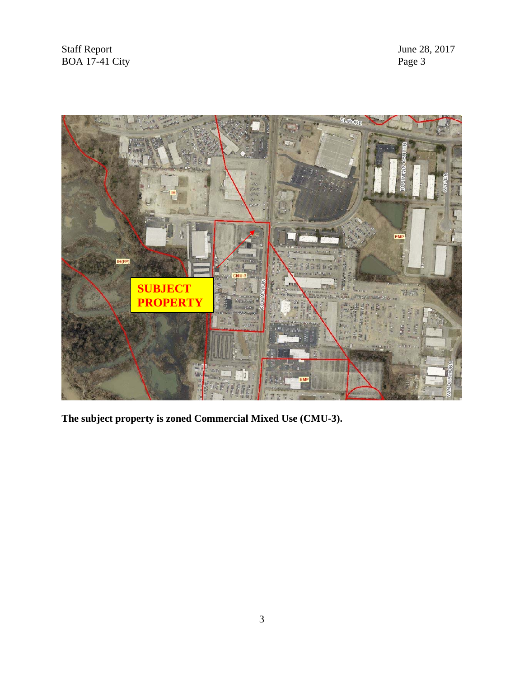Staff Report June 28, 2017<br>BOA 17-41 City Page 3 BOA  $17-41$  City



**The subject property is zoned Commercial Mixed Use (CMU-3).**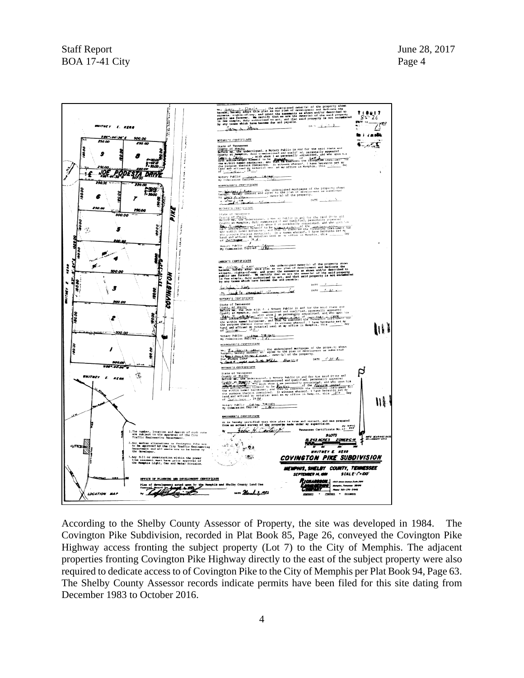

According to the Shelby County Assessor of Property, the site was developed in 1984. The Covington Pike Subdivision, recorded in Plat Book 85, Page 26, conveyed the Covington Pike Highway access fronting the subject property (Lot 7) to the City of Memphis. The adjacent properties fronting Covington Pike Highway directly to the east of the subject property were also required to dedicate access to of Covington Pike to the City of Memphis per Plat Book 94, Page 63. The Shelby County Assessor records indicate permits have been filed for this site dating from December 1983 to October 2016.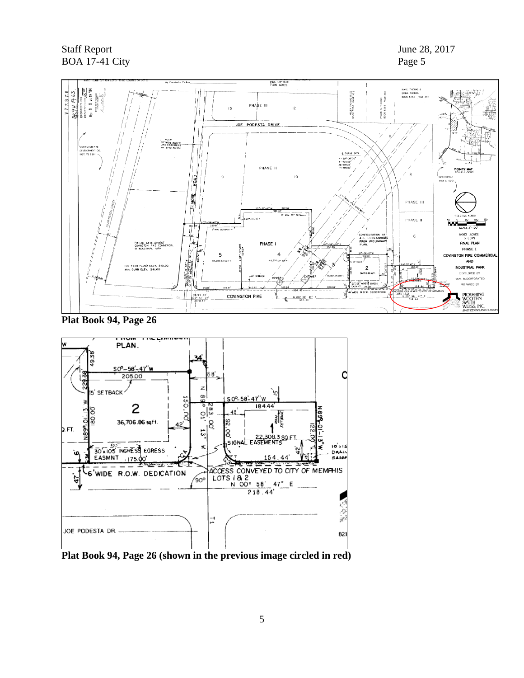

**Plat Book 94, Page 26** 



**Plat Book 94, Page 26 (shown in the previous image circled in red)**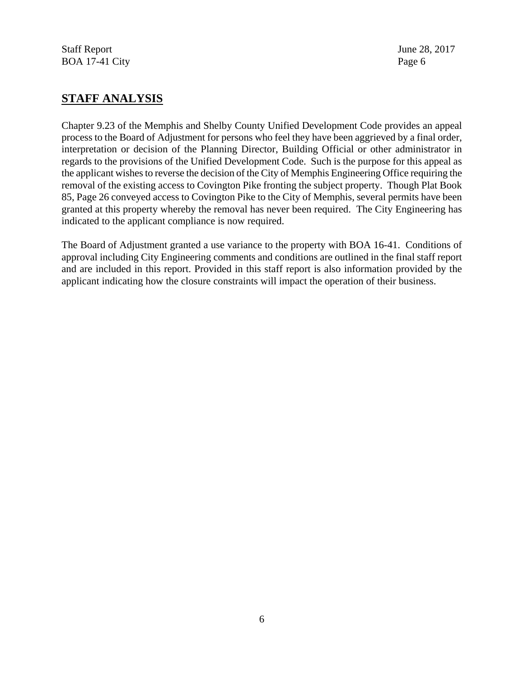# **STAFF ANALYSIS**

Chapter 9.23 of the Memphis and Shelby County Unified Development Code provides an appeal process to the Board of Adjustment for persons who feel they have been aggrieved by a final order, interpretation or decision of the Planning Director, Building Official or other administrator in regards to the provisions of the Unified Development Code. Such is the purpose for this appeal as the applicant wishes to reverse the decision of the City of Memphis Engineering Office requiring the removal of the existing access to Covington Pike fronting the subject property. Though Plat Book 85, Page 26 conveyed access to Covington Pike to the City of Memphis, several permits have been granted at this property whereby the removal has never been required. The City Engineering has indicated to the applicant compliance is now required.

The Board of Adjustment granted a use variance to the property with BOA 16-41. Conditions of approval including City Engineering comments and conditions are outlined in the final staff report and are included in this report. Provided in this staff report is also information provided by the applicant indicating how the closure constraints will impact the operation of their business.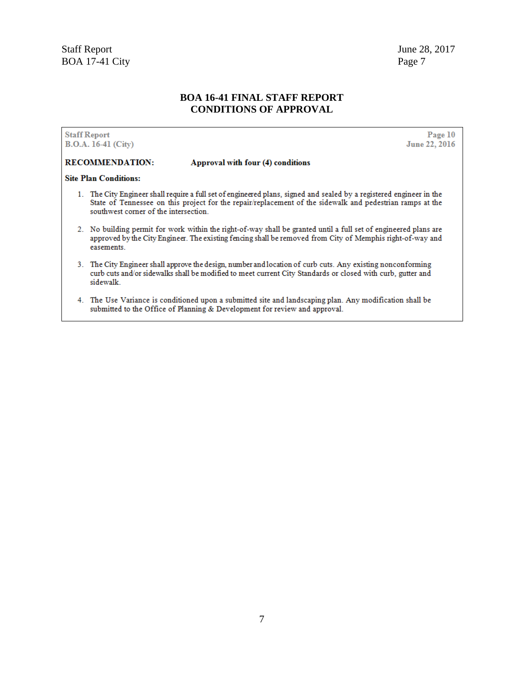### **BOA 16-41 FINAL STAFF REPORT CONDITIONS OF APPROVAL**

**Staff Report B.O.A. 16-41 (City)** 

Page 10 June 22, 2016

#### **RECOMMENDATION:**

### Approval with four (4) conditions

#### **Site Plan Conditions:**

- 1. The City Engineer shall require a full set of engineered plans, signed and sealed by a registered engineer in the State of Tennessee on this project for the repair/replacement of the sidewalk and pedestrian ramps at the southwest corner of the intersection.
- 2. No building permit for work within the right-of-way shall be granted until a full set of engineered plans are approved by the City Engineer. The existing fencing shall be removed from City of Memphis right-of-way and easements.
- 3. The City Engineer shall approve the design, number and location of curb cuts. Any existing nonconforming curb cuts and/or sidewalks shall be modified to meet current City Standards or closed with curb, gutter and sidewalk.
- 4. The Use Variance is conditioned upon a submitted site and landscaping plan. Any modification shall be submitted to the Office of Planning & Development for review and approval.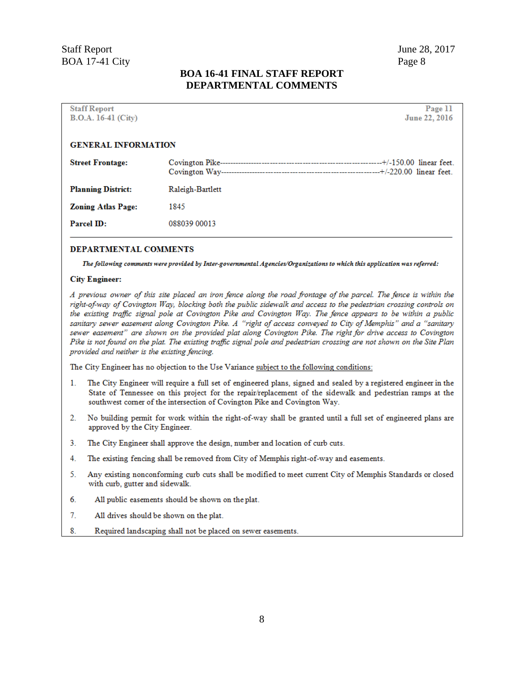## **BOA 16-41 FINAL STAFF REPORT DEPARTMENTAL COMMENTS**

| <b>Staff Report</b>        |                  | Page 11       |
|----------------------------|------------------|---------------|
| $B.O.A. 16-41 (City)$      |                  | June 22, 2016 |
|                            |                  |               |
| <b>GENERAL INFORMATION</b> |                  |               |
| <b>Street Frontage:</b>    |                  |               |
| <b>Planning District:</b>  | Raleigh-Bartlett |               |
| <b>Zoning Atlas Page:</b>  | 1845             |               |
| <b>Parcel ID:</b>          | 088039 00013     |               |
|                            |                  |               |

#### DEPARTMENTAL COMMENTS

The following comments were provided by Inter-governmental Agencies/Organizations to which this application was referred:

#### **City Engineer:**

A previous owner of this site placed an iron fence along the road frontage of the parcel. The fence is within the right-of-way of Covington Way, blocking both the public sidewalk and access to the pedestrian crossing controls on the existing traffic signal pole at Covington Pike and Covington Way. The fence appears to be within a public sanitary sewer easement along Covington Pike. A "right of access conveyed to City of Memphis" and a "sanitary sewer easement" are shown on the provided plat along Covington Pike. The right for drive access to Covington Pike is not found on the plat. The existing traffic signal pole and pedestrian crossing are not shown on the Site Plan provided and neither is the existing fencing.

The City Engineer has no objection to the Use Variance subject to the following conditions:

- The City Engineer will require a full set of engineered plans, signed and sealed by a registered engineer in the  $1.$ State of Tennessee on this project for the repair/replacement of the sidewalk and pedestrian ramps at the southwest corner of the intersection of Covington Pike and Covington Way.
- $2.$ No building permit for work within the right-of-way shall be granted until a full set of engineered plans are approved by the City Engineer.
- $3.$ The City Engineer shall approve the design, number and location of curb cuts.
- 4. The existing fencing shall be removed from City of Memphis right-of-way and easements.
- 5. Any existing nonconforming curb cuts shall be modified to meet current City of Memphis Standards or closed with curb, gutter and sidewalk.
- 6. All public easements should be shown on the plat.
- $7.$ All drives should be shown on the plat.
- 8. Required landscaping shall not be placed on sewer easements.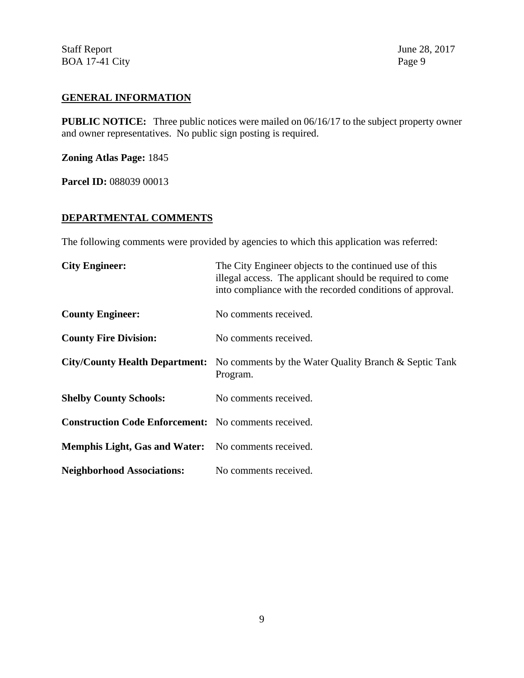## **GENERAL INFORMATION**

**PUBLIC NOTICE:** Three public notices were mailed on 06/16/17 to the subject property owner and owner representatives. No public sign posting is required.

**Zoning Atlas Page:** 1845

**Parcel ID: 088039 00013** 

# **DEPARTMENTAL COMMENTS**

The following comments were provided by agencies to which this application was referred:

| <b>City Engineer:</b>                                       | The City Engineer objects to the continued use of this<br>illegal access. The applicant should be required to come<br>into compliance with the recorded conditions of approval. |
|-------------------------------------------------------------|---------------------------------------------------------------------------------------------------------------------------------------------------------------------------------|
| <b>County Engineer:</b>                                     | No comments received.                                                                                                                                                           |
| <b>County Fire Division:</b>                                | No comments received.                                                                                                                                                           |
|                                                             | <b>City/County Health Department:</b> No comments by the Water Quality Branch & Septic Tank<br>Program.                                                                         |
| <b>Shelby County Schools:</b>                               | No comments received.                                                                                                                                                           |
| <b>Construction Code Enforcement:</b> No comments received. |                                                                                                                                                                                 |
| Memphis Light, Gas and Water: No comments received.         |                                                                                                                                                                                 |
| <b>Neighborhood Associations:</b>                           | No comments received.                                                                                                                                                           |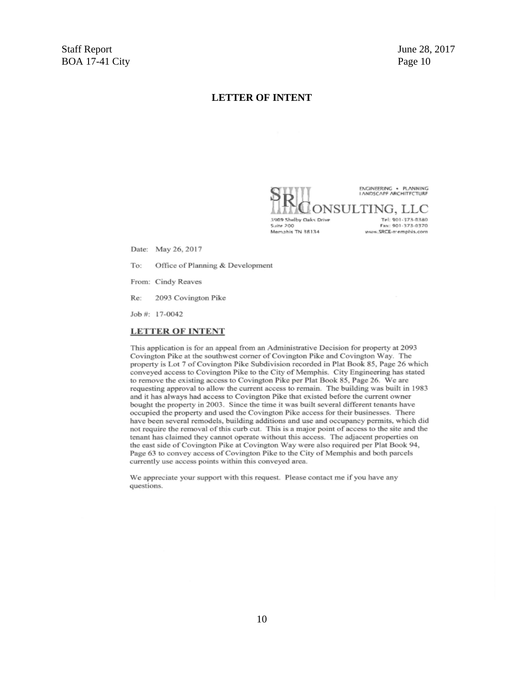### **LETTER OF INTENT**

ENGINEERING . PLANNING **LANDSCAPE ARCHITECTURE** 

5909 Shelby Oaks Drive Suite 200 Memahis TN 38134

DNSULTING, LLC Tel: 901-373-0380 Fax: 901-373-0370 www.SRCE-memphis.com

Date: May 26, 2017

Office of Planning & Development To:

From: Cindy Reaves

Re: 2093 Covington Pike

Job #: 17-0042

#### **LETTER OF INTENT**

This application is for an appeal from an Administrative Decision for property at 2093 Covington Pike at the southwest corner of Covington Pike and Covington Way. The property is Lot 7 of Covington Pike Subdivision recorded in Plat Book 85, Page 26 which conveyed access to Covington Pike to the City of Memphis. City Engineering has stated to remove the existing access to Covington Pike per Plat Book 85, Page 26. We are requesting approval to allow the current access to remain. The building was built in 1983 and it has always had access to Covington Pike that existed before the current owner bought the property in 2003. Since the time it was built several different tenants have occupied the property and used the Covington Pike access for their businesses. There have been several remodels, building additions and use and occupancy permits, which did not require the removal of this curb cut. This is a major point of access to the site and the tenant has claimed they cannot operate without this access. The adjacent properties on the east side of Covington Pike at Covington Way were also required per Plat Book 94, Page 63 to convey access of Covington Pike to the City of Memphis and both parcels currently use access points within this conveyed area.

We appreciate your support with this request. Please contact me if you have any questions.